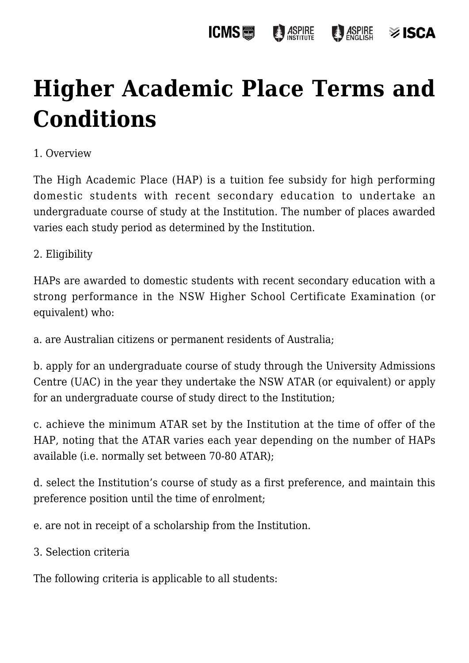### **ICMS圖 ASPIRE ASPIRE ≫ ISCA**

# **[Higher Academic Place Terms and](https://policies.icms.edu.au/higher-academic-place-terms-and-conditions/) [Conditions](https://policies.icms.edu.au/higher-academic-place-terms-and-conditions/)**

## 1. Overview

The High Academic Place (HAP) is a tuition fee subsidy for high performing domestic students with recent secondary education to undertake an undergraduate course of study at the Institution. The number of places awarded varies each study period as determined by the Institution.

## 2. Eligibility

HAPs are awarded to domestic students with recent secondary education with a strong performance in the NSW Higher School Certificate Examination (or equivalent) who:

a. are Australian citizens or permanent residents of Australia;

b. apply for an undergraduate course of study through the University Admissions Centre (UAC) in the year they undertake the NSW ATAR (or equivalent) or apply for an undergraduate course of study direct to the Institution;

c. achieve the minimum ATAR set by the Institution at the time of offer of the HAP, noting that the ATAR varies each year depending on the number of HAPs available (i.e. normally set between 70-80 ATAR);

d. select the Institution's course of study as a first preference, and maintain this preference position until the time of enrolment;

e. are not in receipt of a scholarship from the Institution.

3. Selection criteria

The following criteria is applicable to all students: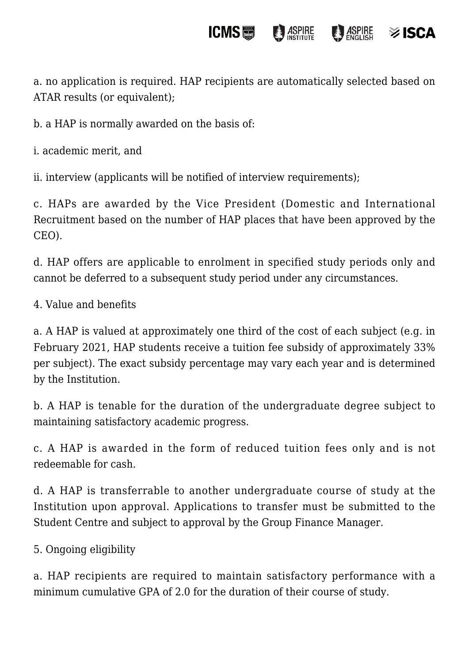a. no application is required. HAP recipients are automatically selected based on ATAR results (or equivalent);

**ICMS** 

**ASPIRE** 

 $\otimes$  ISCA

b. a HAP is normally awarded on the basis of:

i. academic merit, and

ii. interview (applicants will be notified of interview requirements);

c. HAPs are awarded by the Vice President (Domestic and International Recruitment based on the number of HAP places that have been approved by the CEO).

d. HAP offers are applicable to enrolment in specified study periods only and cannot be deferred to a subsequent study period under any circumstances.

4. Value and benefits

a. A HAP is valued at approximately one third of the cost of each subject (e.g. in February 2021, HAP students receive a tuition fee subsidy of approximately 33% per subject). The exact subsidy percentage may vary each year and is determined by the Institution.

b. A HAP is tenable for the duration of the undergraduate degree subject to maintaining satisfactory academic progress.

c. A HAP is awarded in the form of reduced tuition fees only and is not redeemable for cash.

d. A HAP is transferrable to another undergraduate course of study at the Institution upon approval. Applications to transfer must be submitted to the Student Centre and subject to approval by the Group Finance Manager.

5. Ongoing eligibility

a. HAP recipients are required to maintain satisfactory performance with a minimum cumulative GPA of 2.0 for the duration of their course of study.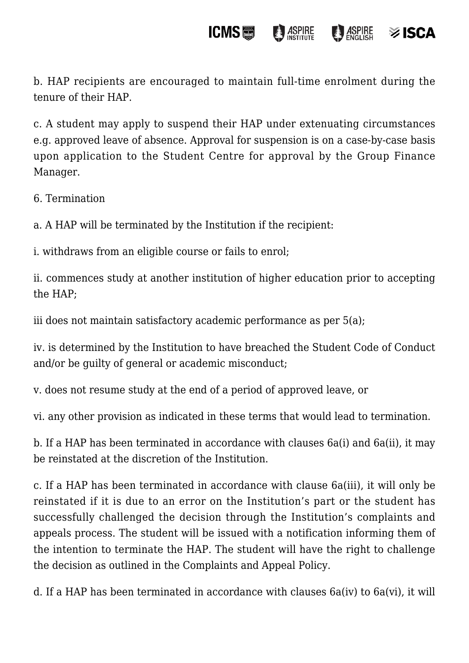#### **ICMS圖 ASPIRE B** ASPIRE  $\otimes$  ISCA

b. HAP recipients are encouraged to maintain full-time enrolment during the tenure of their HAP.

c. A student may apply to suspend their HAP under extenuating circumstances e.g. approved leave of absence. Approval for suspension is on a case-by-case basis upon application to the Student Centre for approval by the Group Finance Manager.

6. Termination

a. A HAP will be terminated by the Institution if the recipient:

i. withdraws from an eligible course or fails to enrol;

ii. commences study at another institution of higher education prior to accepting the HAP;

iii does not maintain satisfactory academic performance as per 5(a);

iv. is determined by the Institution to have breached the Student Code of Conduct and/or be guilty of general or academic misconduct;

v. does not resume study at the end of a period of approved leave, or

vi. any other provision as indicated in these terms that would lead to termination.

b. If a HAP has been terminated in accordance with clauses 6a(i) and 6a(ii), it may be reinstated at the discretion of the Institution.

c. If a HAP has been terminated in accordance with clause 6a(iii), it will only be reinstated if it is due to an error on the Institution's part or the student has successfully challenged the decision through the Institution's complaints and appeals process. The student will be issued with a notification informing them of the intention to terminate the HAP. The student will have the right to challenge the decision as outlined in the Complaints and Appeal Policy.

d. If a HAP has been terminated in accordance with clauses 6a(iv) to 6a(vi), it will